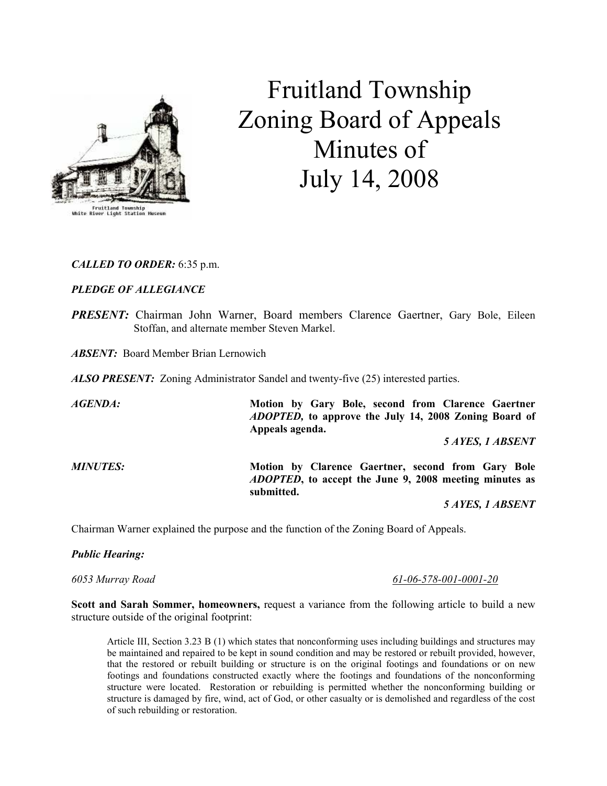

# Fruitland Township Zoning Board of Appeals Minutes of July 14, 2008

### CALLED TO ORDER: 6:35 p.m.

# PLEDGE OF ALLEGIANCE

**PRESENT:** Chairman John Warner, Board members Clarence Gaertner, Gary Bole, Eileen Stoffan, and alternate member Steven Markel.

**ABSENT:** Board Member Brian Lernowich

**ALSO PRESENT:** Zoning Administrator Sandel and twenty-five (25) interested parties.

AGENDA: Motion by Gary Bole, second from Clarence Gaertner ADOPTED, to approve the July 14, 2008 Zoning Board of Appeals agenda. 5 AYES, 1 ABSENT MINUTES: Motion by Clarence Gaertner, second from Gary Bole ADOPTED, to accept the June 9, 2008 meeting minutes as submitted.

5 AYES, 1 ABSENT

Chairman Warner explained the purpose and the function of the Zoning Board of Appeals.

### Public Hearing:

6053 Murray Road 61-06-578-001-0001-20

Scott and Sarah Sommer, homeowners, request a variance from the following article to build a new structure outside of the original footprint:

Article III, Section 3.23 B (1) which states that nonconforming uses including buildings and structures may be maintained and repaired to be kept in sound condition and may be restored or rebuilt provided, however, that the restored or rebuilt building or structure is on the original footings and foundations or on new footings and foundations constructed exactly where the footings and foundations of the nonconforming structure were located. Restoration or rebuilding is permitted whether the nonconforming building or structure is damaged by fire, wind, act of God, or other casualty or is demolished and regardless of the cost of such rebuilding or restoration.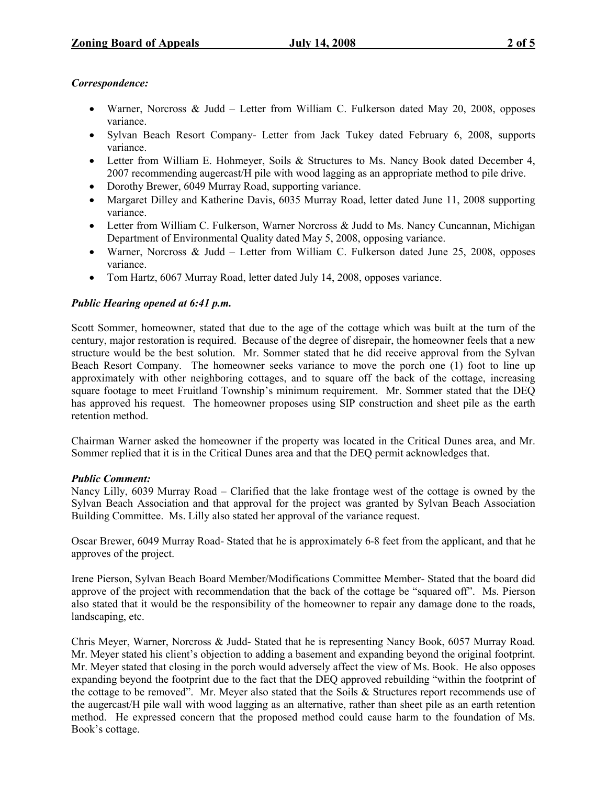## Correspondence:

- Warner, Norcross & Judd Letter from William C. Fulkerson dated May 20, 2008, opposes variance.
- Sylvan Beach Resort Company- Letter from Jack Tukey dated February 6, 2008, supports variance.
- Letter from William E. Hohmeyer, Soils & Structures to Ms. Nancy Book dated December 4, 2007 recommending augercast/H pile with wood lagging as an appropriate method to pile drive.
- Dorothy Brewer, 6049 Murray Road, supporting variance.
- Margaret Dilley and Katherine Davis, 6035 Murray Road, letter dated June 11, 2008 supporting variance.
- Letter from William C. Fulkerson, Warner Norcross & Judd to Ms. Nancy Cuncannan, Michigan Department of Environmental Quality dated May 5, 2008, opposing variance.
- Warner, Norcross & Judd Letter from William C. Fulkerson dated June 25, 2008, opposes variance.
- Tom Hartz, 6067 Murray Road, letter dated July 14, 2008, opposes variance.

# Public Hearing opened at 6:41 p.m.

Scott Sommer, homeowner, stated that due to the age of the cottage which was built at the turn of the century, major restoration is required. Because of the degree of disrepair, the homeowner feels that a new structure would be the best solution. Mr. Sommer stated that he did receive approval from the Sylvan Beach Resort Company. The homeowner seeks variance to move the porch one (1) foot to line up approximately with other neighboring cottages, and to square off the back of the cottage, increasing square footage to meet Fruitland Township's minimum requirement. Mr. Sommer stated that the DEQ has approved his request. The homeowner proposes using SIP construction and sheet pile as the earth retention method.

Chairman Warner asked the homeowner if the property was located in the Critical Dunes area, and Mr. Sommer replied that it is in the Critical Dunes area and that the DEQ permit acknowledges that.

### Public Comment:

Nancy Lilly, 6039 Murray Road – Clarified that the lake frontage west of the cottage is owned by the Sylvan Beach Association and that approval for the project was granted by Sylvan Beach Association Building Committee. Ms. Lilly also stated her approval of the variance request.

Oscar Brewer, 6049 Murray Road- Stated that he is approximately 6-8 feet from the applicant, and that he approves of the project.

Irene Pierson, Sylvan Beach Board Member/Modifications Committee Member- Stated that the board did approve of the project with recommendation that the back of the cottage be "squared off". Ms. Pierson also stated that it would be the responsibility of the homeowner to repair any damage done to the roads, landscaping, etc.

Chris Meyer, Warner, Norcross & Judd- Stated that he is representing Nancy Book, 6057 Murray Road. Mr. Meyer stated his client's objection to adding a basement and expanding beyond the original footprint. Mr. Meyer stated that closing in the porch would adversely affect the view of Ms. Book. He also opposes expanding beyond the footprint due to the fact that the DEQ approved rebuilding "within the footprint of the cottage to be removed". Mr. Meyer also stated that the Soils & Structures report recommends use of the augercast/H pile wall with wood lagging as an alternative, rather than sheet pile as an earth retention method. He expressed concern that the proposed method could cause harm to the foundation of Ms. Book's cottage.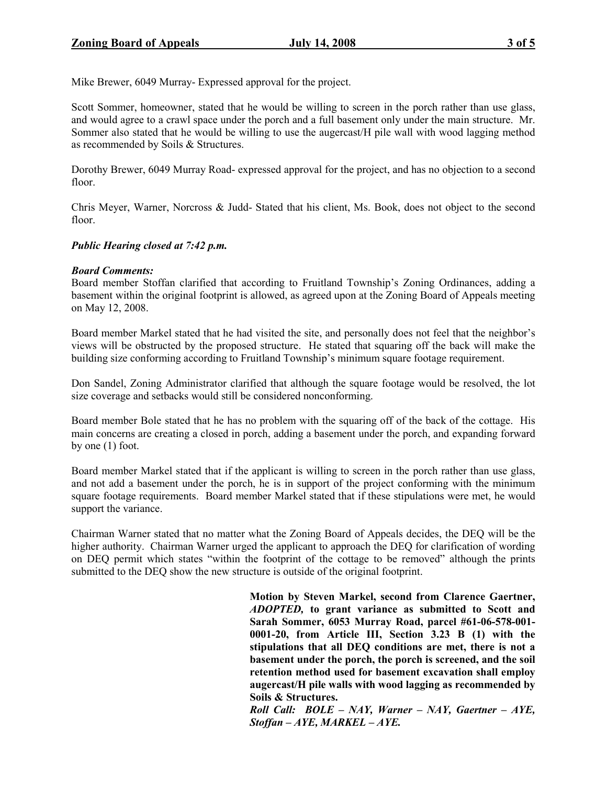Mike Brewer, 6049 Murray- Expressed approval for the project.

Scott Sommer, homeowner, stated that he would be willing to screen in the porch rather than use glass, and would agree to a crawl space under the porch and a full basement only under the main structure. Mr. Sommer also stated that he would be willing to use the augercast/H pile wall with wood lagging method as recommended by Soils & Structures.

Dorothy Brewer, 6049 Murray Road- expressed approval for the project, and has no objection to a second floor.

Chris Meyer, Warner, Norcross & Judd- Stated that his client, Ms. Book, does not object to the second floor.

### Public Hearing closed at 7:42 p.m.

### Board Comments:

Board member Stoffan clarified that according to Fruitland Township's Zoning Ordinances, adding a basement within the original footprint is allowed, as agreed upon at the Zoning Board of Appeals meeting on May 12, 2008.

Board member Markel stated that he had visited the site, and personally does not feel that the neighbor's views will be obstructed by the proposed structure. He stated that squaring off the back will make the building size conforming according to Fruitland Township's minimum square footage requirement.

Don Sandel, Zoning Administrator clarified that although the square footage would be resolved, the lot size coverage and setbacks would still be considered nonconforming.

Board member Bole stated that he has no problem with the squaring off of the back of the cottage. His main concerns are creating a closed in porch, adding a basement under the porch, and expanding forward by one (1) foot.

Board member Markel stated that if the applicant is willing to screen in the porch rather than use glass, and not add a basement under the porch, he is in support of the project conforming with the minimum square footage requirements. Board member Markel stated that if these stipulations were met, he would support the variance.

Chairman Warner stated that no matter what the Zoning Board of Appeals decides, the DEQ will be the higher authority. Chairman Warner urged the applicant to approach the DEQ for clarification of wording on DEQ permit which states "within the footprint of the cottage to be removed" although the prints submitted to the DEQ show the new structure is outside of the original footprint.

> Motion by Steven Markel, second from Clarence Gaertner, ADOPTED, to grant variance as submitted to Scott and Sarah Sommer, 6053 Murray Road, parcel #61-06-578-001- 0001-20, from Article III, Section 3.23 B (1) with the stipulations that all DEQ conditions are met, there is not a basement under the porch, the porch is screened, and the soil retention method used for basement excavation shall employ augercast/H pile walls with wood lagging as recommended by Soils & Structures.

> Roll Call: BOLE – NAY, Warner – NAY, Gaertner – AYE, Stoffan – AYE, MARKEL – AYE.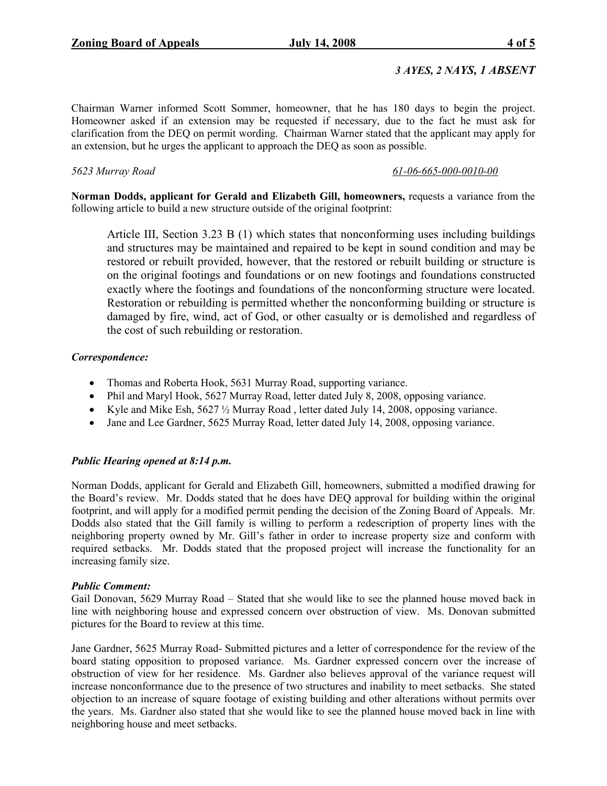# 3 AYES, 2 NAYS, 1 ABSENT

Chairman Warner informed Scott Sommer, homeowner, that he has 180 days to begin the project. Homeowner asked if an extension may be requested if necessary, due to the fact he must ask for clarification from the DEQ on permit wording. Chairman Warner stated that the applicant may apply for an extension, but he urges the applicant to approach the DEQ as soon as possible.

### 5623 Murray Road 61-06-665-000-0010-00

Norman Dodds, applicant for Gerald and Elizabeth Gill, homeowners, requests a variance from the following article to build a new structure outside of the original footprint:

Article III, Section 3.23 B (1) which states that nonconforming uses including buildings and structures may be maintained and repaired to be kept in sound condition and may be restored or rebuilt provided, however, that the restored or rebuilt building or structure is on the original footings and foundations or on new footings and foundations constructed exactly where the footings and foundations of the nonconforming structure were located. Restoration or rebuilding is permitted whether the nonconforming building or structure is damaged by fire, wind, act of God, or other casualty or is demolished and regardless of the cost of such rebuilding or restoration.

### Correspondence:

- Thomas and Roberta Hook, 5631 Murray Road, supporting variance.
- Phil and Maryl Hook, 5627 Murray Road, letter dated July 8, 2008, opposing variance.
- Kyle and Mike Esh, 5627 ½ Murray Road , letter dated July 14, 2008, opposing variance.
- Jane and Lee Gardner, 5625 Murray Road, letter dated July 14, 2008, opposing variance.

### Public Hearing opened at 8:14 p.m.

Norman Dodds, applicant for Gerald and Elizabeth Gill, homeowners, submitted a modified drawing for the Board's review. Mr. Dodds stated that he does have DEQ approval for building within the original footprint, and will apply for a modified permit pending the decision of the Zoning Board of Appeals. Mr. Dodds also stated that the Gill family is willing to perform a redescription of property lines with the neighboring property owned by Mr. Gill's father in order to increase property size and conform with required setbacks. Mr. Dodds stated that the proposed project will increase the functionality for an increasing family size.

### Public Comment:

Gail Donovan, 5629 Murray Road – Stated that she would like to see the planned house moved back in line with neighboring house and expressed concern over obstruction of view. Ms. Donovan submitted pictures for the Board to review at this time.

Jane Gardner, 5625 Murray Road- Submitted pictures and a letter of correspondence for the review of the board stating opposition to proposed variance. Ms. Gardner expressed concern over the increase of obstruction of view for her residence. Ms. Gardner also believes approval of the variance request will increase nonconformance due to the presence of two structures and inability to meet setbacks. She stated objection to an increase of square footage of existing building and other alterations without permits over the years. Ms. Gardner also stated that she would like to see the planned house moved back in line with neighboring house and meet setbacks.